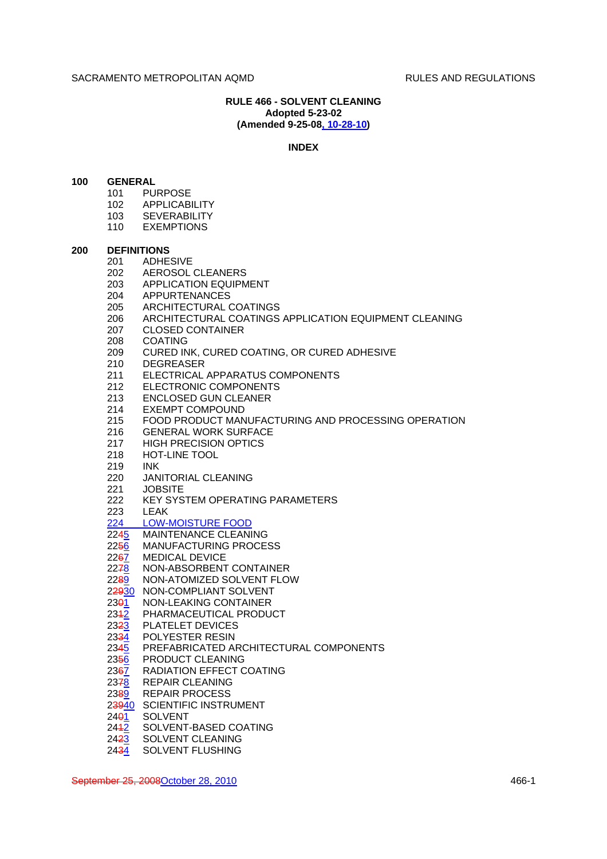# **RULE 466 - SOLVENT CLEANING Adopted 5-23-02 (Amended 9-25-08, 10-28-10)**

#### **INDEX**

## **100 GENERAL**

- 101 PURPOSE
- 102 APPLICABILITY
- 103 SEVERABILITY
- 110 EXEMPTIONS

#### **200 DEFINITIONS**

- 201 ADHESIVE
- 202 AEROSOL CLEANERS
- 203 APPLICATION EQUIPMENT
- 204 APPURTENANCES
- 205 ARCHITECTURAL COATINGS
- 206 ARCHITECTURAL COATINGS APPLICATION EQUIPMENT CLEANING
- 207 CLOSED CONTAINER
- 
- 208 COATING<br>209 CURED IN CURED INK, CURED COATING, OR CURED ADHESIVE
- 210 DEGREASER
- 211 ELECTRICAL APPARATUS COMPONENTS
- 212 ELECTRONIC COMPONENTS
- 213 ENCLOSED GUN CLEANER
- 214 EXEMPT COMPOUND
- 215 FOOD PRODUCT MANUFACTURING AND PROCESSING OPERATION
- 216 GENERAL WORK SURFACE
- 217 HIGH PRECISION OPTICS
- 218 HOT-LINE TOOL
- 219 INK
- 220 JANITORIAL CLEANING
- 221 JOBSITE
- 222 KEY SYSTEM OPERATING PARAMETERS
- 223 LEAK
- 224 LOW-MOISTURE FOOD
- 2245 MAINTENANCE CLEANING
- 2256 MANUFACTURING PROCESS
- 2267 MEDICAL DEVICE
- 2278 NON-ABSORBENT CONTAINER
- 2289 NON-ATOMIZED SOLVENT FLOW
- 22930 NON-COMPLIANT SOLVENT<br>2391 NON-LEAKING CONTAINER
- 23<del>0</del>1 NON-LEAKING CONTAINER<br>234<u>2</u> PHARMACEUTICAL PRODU
- PHARMACEUTICAL PRODUCT
- 2323 PLATELET DEVICES
- 2334 POLYESTER RESIN
- 2345 PREFABRICATED ARCHITECTURAL COMPONENTS
- 2356 PRODUCT CLEANING
- 2367 RADIATION EFFECT COATING
- 2378 REPAIR CLEANING
- 2389 REPAIR PROCESS
- 2<del>3940</del> SCIENTIFIC INSTRUMENT<br>24<del>0</del>1 SOLVENT
- **SOLVENT**
- 2442 SOLVENT-BASED COATING
- 2423 SOLVENT CLEANING
- 2434 SOLVENT FLUSHING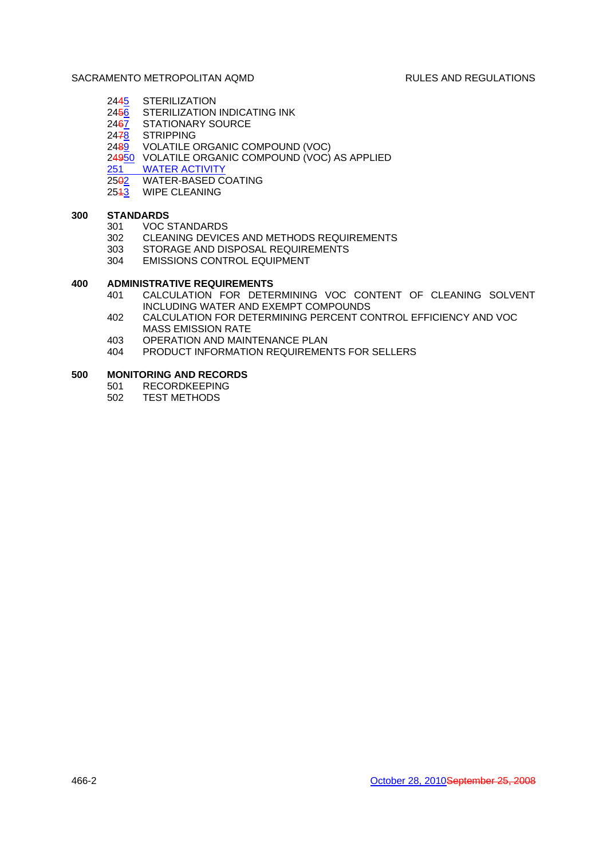- 2445 STERILIZATION<br>24<del>5</del>6 STERILIZATION
- 2456 STERILIZATION INDICATING INK<br>2467 STATIONARY SOURCE
- STATIONARY SOURCE
- 2478 STRIPPING
- 2489 VOLATILE ORGANIC COMPOUND (VOC)
- 24950 VOLATILE ORGANIC COMPOUND (VOC) AS APPLIED<br>251 WATER ACTIVITY
- 
- 251 WATER ACTIVITY<br>25<del>0</del>2 WATER-BASED C WATER-BASED COATING
- 2543 WIPE CLEANING

# **300 STANDARDS**

- 301 VOC STANDARDS
- 302 CLEANING DEVICES AND METHODS REQUIREMENTS
- 303 STORAGE AND DISPOSAL REQUIREMENTS
- 304 EMISSIONS CONTROL EQUIPMENT

# **400 ADMINISTRATIVE REQUIREMENTS**

- 401 CALCULATION FOR DETERMINING VOC CONTENT OF CLEANING SOLVENT INCLUDING WATER AND EXEMPT COMPOUNDS
- 402 CALCULATION FOR DETERMINING PERCENT CONTROL EFFICIENCY AND VOC MASS EMISSION RATE
- 403 OPERATION AND MAINTENANCE PLAN
- 404 PRODUCT INFORMATION REQUIREMENTS FOR SELLERS

### **500 MONITORING AND RECORDS**

- 501 RECORDKEEPING
- 502 TEST METHODS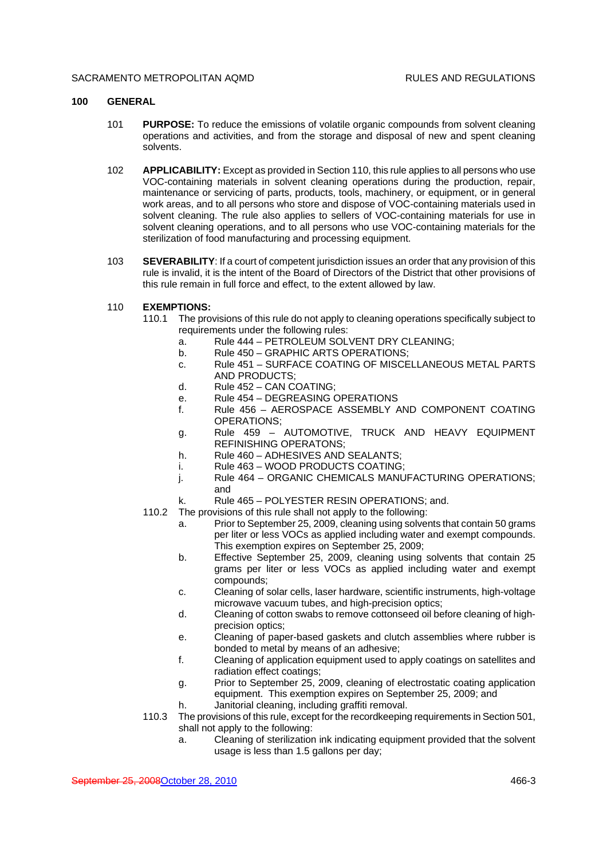## **100 GENERAL**

- 101 **PURPOSE:** To reduce the emissions of volatile organic compounds from solvent cleaning operations and activities, and from the storage and disposal of new and spent cleaning solvents.
- 102 **APPLICABILITY:** Except as provided in Section 110, this rule applies to all persons who use VOC-containing materials in solvent cleaning operations during the production, repair, maintenance or servicing of parts, products, tools, machinery, or equipment, or in general work areas, and to all persons who store and dispose of VOC-containing materials used in solvent cleaning. The rule also applies to sellers of VOC-containing materials for use in solvent cleaning operations, and to all persons who use VOC-containing materials for the sterilization of food manufacturing and processing equipment.
- 103 **SEVERABILITY**: If a court of competent jurisdiction issues an order that any provision of this rule is invalid, it is the intent of the Board of Directors of the District that other provisions of this rule remain in full force and effect, to the extent allowed by law.
- 110 **EXEMPTIONS:**
	- 110.1 The provisions of this rule do not apply to cleaning operations specifically subject to requirements under the following rules:
		- a. Rule 444 PETROLEUM SOLVENT DRY CLEANING;
		- b. Rule 450 GRAPHIC ARTS OPERATIONS:
		- c. Rule 451 SURFACE COATING OF MISCELLANEOUS METAL PARTS AND PRODUCTS;
		- d. Rule 452 CAN COATING;
		- e. Rule 454 DEGREASING OPERATIONS
		- f. Rule 456 AEROSPACE ASSEMBLY AND COMPONENT COATING OPERATIONS;
		- g. Rule 459 AUTOMOTIVE, TRUCK AND HEAVY EQUIPMENT REFINISHING OPERATONS;
		- h. Rule 460 ADHESIVES AND SEALANTS;
		- i. Rule 463 WOOD PRODUCTS COATING;
		- j. Rule 464 ORGANIC CHEMICALS MANUFACTURING OPERATIONS; and
		- k. Rule 465 POLYESTER RESIN OPERATIONS; and.
	- 110.2 The provisions of this rule shall not apply to the following:
		- a. Prior to September 25, 2009, cleaning using solvents that contain 50 grams per liter or less VOCs as applied including water and exempt compounds. This exemption expires on September 25, 2009;
		- b. Effective September 25, 2009, cleaning using solvents that contain 25 grams per liter or less VOCs as applied including water and exempt compounds;
		- c. Cleaning of solar cells, laser hardware, scientific instruments, high-voltage microwave vacuum tubes, and high-precision optics;
		- d. Cleaning of cotton swabs to remove cottonseed oil before cleaning of highprecision optics;
		- e. Cleaning of paper-based gaskets and clutch assemblies where rubber is bonded to metal by means of an adhesive;
		- f. Cleaning of application equipment used to apply coatings on satellites and radiation effect coatings;
		- g. Prior to September 25, 2009, cleaning of electrostatic coating application equipment. This exemption expires on September 25, 2009; and
		- h. Janitorial cleaning, including graffiti removal.
	- 110.3 The provisions of this rule, except for the recordkeeping requirements in Section 501, shall not apply to the following:
		- a. Cleaning of sterilization ink indicating equipment provided that the solvent usage is less than 1.5 gallons per day;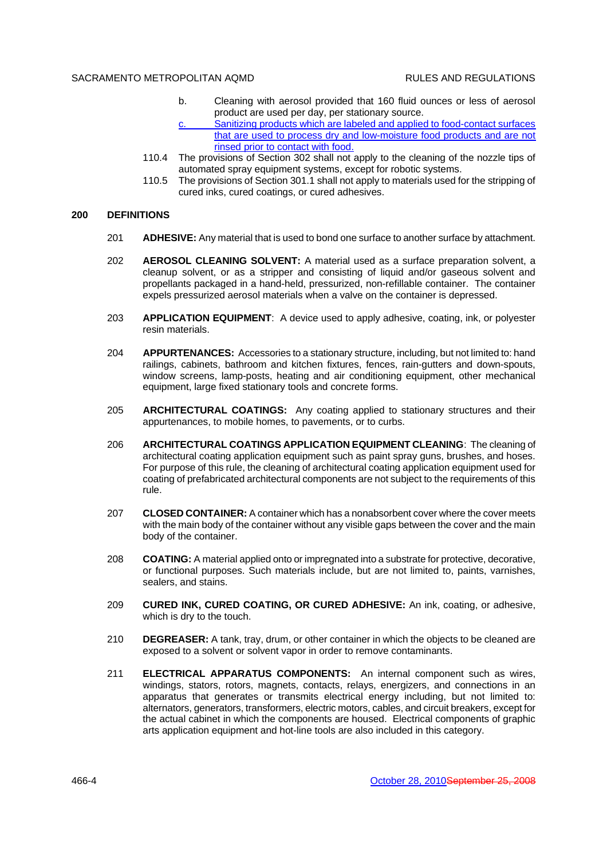- b. Cleaning with aerosol provided that 160 fluid ounces or less of aerosol product are used per day, per stationary source. Sanitizing products which are labeled and applied to food-contact surfaces
- that are used to process dry and low-moisture food products and are not rinsed prior to contact with food.
- 110.4 The provisions of Section 302 shall not apply to the cleaning of the nozzle tips of automated spray equipment systems, except for robotic systems.
- 110.5 The provisions of Section 301.1 shall not apply to materials used for the stripping of cured inks, cured coatings, or cured adhesives.

#### **200 DEFINITIONS**

- 201 **ADHESIVE:** Any material that is used to bond one surface to another surface by attachment.
- 202 **AEROSOL CLEANING SOLVENT:** A material used as a surface preparation solvent, a cleanup solvent, or as a stripper and consisting of liquid and/or gaseous solvent and propellants packaged in a hand-held, pressurized, non-refillable container. The container expels pressurized aerosol materials when a valve on the container is depressed.
- 203 **APPLICATION EQUIPMENT**: A device used to apply adhesive, coating, ink, or polyester resin materials.
- 204 **APPURTENANCES:** Accessories to a stationary structure, including, but not limited to: hand railings, cabinets, bathroom and kitchen fixtures, fences, rain-gutters and down-spouts, window screens, lamp-posts, heating and air conditioning equipment, other mechanical equipment, large fixed stationary tools and concrete forms.
- 205 **ARCHITECTURAL COATINGS:** Any coating applied to stationary structures and their appurtenances, to mobile homes, to pavements, or to curbs.
- 206 **ARCHITECTURAL COATINGS APPLICATION EQUIPMENT CLEANING**: The cleaning of architectural coating application equipment such as paint spray guns, brushes, and hoses. For purpose of this rule, the cleaning of architectural coating application equipment used for coating of prefabricated architectural components are not subject to the requirements of this rule.
- 207 **CLOSED CONTAINER:** A container which has a nonabsorbent cover where the cover meets with the main body of the container without any visible gaps between the cover and the main body of the container.
- 208 **COATING:** A material applied onto or impregnated into a substrate for protective, decorative, or functional purposes. Such materials include, but are not limited to, paints, varnishes, sealers, and stains.
- 209 **CURED INK, CURED COATING, OR CURED ADHESIVE:** An ink, coating, or adhesive, which is dry to the touch.
- 210 **DEGREASER:** A tank, tray, drum, or other container in which the objects to be cleaned are exposed to a solvent or solvent vapor in order to remove contaminants.
- 211 **ELECTRICAL APPARATUS COMPONENTS:** An internal component such as wires, windings, stators, rotors, magnets, contacts, relays, energizers, and connections in an apparatus that generates or transmits electrical energy including, but not limited to: alternators, generators, transformers, electric motors, cables, and circuit breakers, except for the actual cabinet in which the components are housed. Electrical components of graphic arts application equipment and hot-line tools are also included in this category.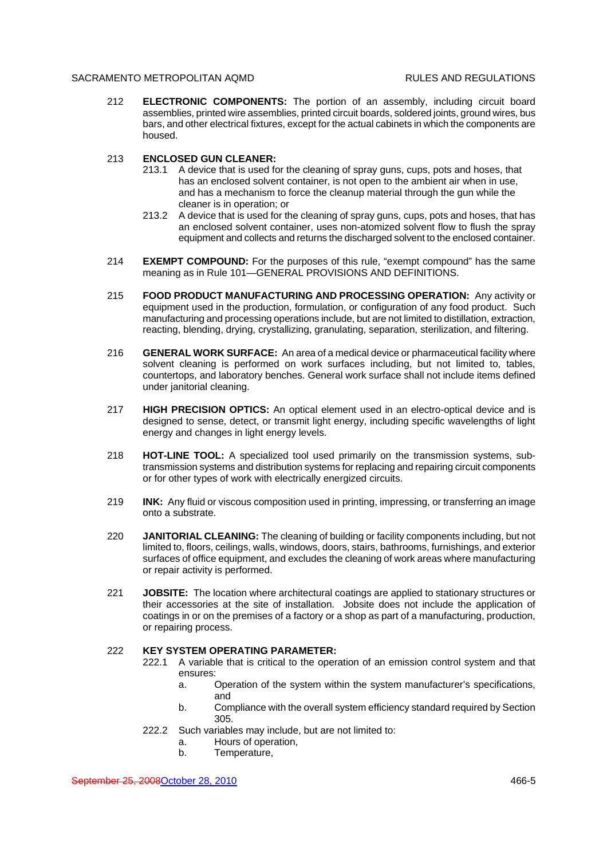212 **ELECTRONIC COMPONENTS:** The portion of an assembly, including circuit board assemblies, printed wire assemblies, printed circuit boards, soldered joints, ground wires, bus bars, and other electrical fixtures, except for the actual cabinets in which the components are housed.

## 213 **ENCLOSED GUN CLEANER:**

- 213.1 A device that is used for the cleaning of spray guns, cups, pots and hoses, that has an enclosed solvent container, is not open to the ambient air when in use, and has a mechanism to force the cleanup material through the gun while the cleaner is in operation; or
- 213.2 A device that is used for the cleaning of spray guns, cups, pots and hoses, that has an enclosed solvent container, uses non-atomized solvent flow to flush the spray equipment and collects and returns the discharged solvent to the enclosed container.
- 214 **EXEMPT COMPOUND:** For the purposes of this rule, "exempt compound" has the same meaning as in Rule 101—GENERAL PROVISIONS AND DEFINITIONS.
- 215 **FOOD PRODUCT MANUFACTURING AND PROCESSING OPERATION:** Any activity or equipment used in the production, formulation, or configuration of any food product. Such manufacturing and processing operations include, but are not limited to distillation, extraction, reacting, blending, drying, crystallizing, granulating, separation, sterilization, and filtering.
- 216 **GENERAL WORK SURFACE:** An area of a medical device or pharmaceutical facility where solvent cleaning is performed on work surfaces including, but not limited to, tables, countertops, and laboratory benches. General work surface shall not include items defined under janitorial cleaning.
- 217 **HIGH PRECISION OPTICS:** An optical element used in an electro-optical device and is designed to sense, detect, or transmit light energy, including specific wavelengths of light energy and changes in light energy levels.
- 218 **HOT-LINE TOOL:** A specialized tool used primarily on the transmission systems, subtransmission systems and distribution systems for replacing and repairing circuit components or for other types of work with electrically energized circuits.
- 219 **INK:** Any fluid or viscous composition used in printing, impressing, or transferring an image onto a substrate.
- 220 **JANITORIAL CLEANING:** The cleaning of building or facility components including, but not limited to, floors, ceilings, walls, windows, doors, stairs, bathrooms, furnishings, and exterior surfaces of office equipment, and excludes the cleaning of work areas where manufacturing or repair activity is performed.
- 221 **JOBSITE:** The location where architectural coatings are applied to stationary structures or their accessories at the site of installation. Jobsite does not include the application of coatings in or on the premises of a factory or a shop as part of a manufacturing, production, or repairing process.

## 222 **KEY SYSTEM OPERATING PARAMETER:**

- 222.1 A variable that is critical to the operation of an emission control system and that ensures:
	- a. Operation of the system within the system manufacturer's specifications, and
	- b. Compliance with the overall system efficiency standard required by Section 305.
- 222.2 Such variables may include, but are not limited to:
	- a. Hours of operation,
	- b. Temperature,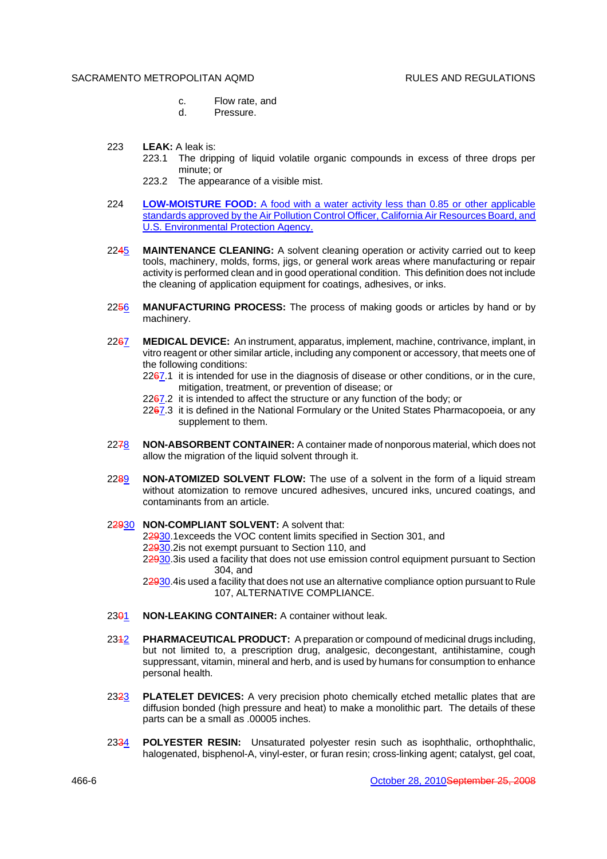- c. Flow rate, and
- d. Pressure.
- 223 **LEAK:** A leak is:
	- 223.1 The dripping of liquid volatile organic compounds in excess of three drops per minute; or
	- 223.2 The appearance of a visible mist.
- 224 **LOW-MOISTURE FOOD:** A food with a water activity less than 0.85 or other applicable standards approved by the Air Pollution Control Officer, California Air Resources Board, and U.S. Environmental Protection Agency.
- 2245 **MAINTENANCE CLEANING:** A solvent cleaning operation or activity carried out to keep tools, machinery, molds, forms, jigs, or general work areas where manufacturing or repair activity is performed clean and in good operational condition. This definition does not include the cleaning of application equipment for coatings, adhesives, or inks.
- 2256 **MANUFACTURING PROCESS:** The process of making goods or articles by hand or by machinery.
- 2267 **MEDICAL DEVICE:** An instrument, apparatus, implement, machine, contrivance, implant, in vitro reagent or other similar article, including any component or accessory, that meets one of the following conditions:
	- 2267.1 it is intended for use in the diagnosis of disease or other conditions, or in the cure, mitigation, treatment, or prevention of disease; or
	- $2267.2$  it is intended to affect the structure or any function of the body; or
	- 2267.3 it is defined in the National Formulary or the United States Pharmacopoeia, or any supplement to them.
- 2278 **NON-ABSORBENT CONTAINER:** A container made of nonporous material, which does not allow the migration of the liquid solvent through it.
- 2289 **NON-ATOMIZED SOLVENT FLOW:** The use of a solvent in the form of a liquid stream without atomization to remove uncured adhesives, uncured inks, uncured coatings, and contaminants from an article.
- 22930 **NON-COMPLIANT SOLVENT:** A solvent that:

22930.1exceeds the VOC content limits specified in Section 301, and

22930.2is not exempt pursuant to Section 110, and

22930.3is used a facility that does not use emission control equipment pursuant to Section 304, and

22930.4is used a facility that does not use an alternative compliance option pursuant to Rule 107, ALTERNATIVE COMPLIANCE.

- 2301 **NON-LEAKING CONTAINER:** A container without leak.
- 2312 **PHARMACEUTICAL PRODUCT:** A preparation or compound of medicinal drugs including, but not limited to, a prescription drug, analgesic, decongestant, antihistamine, cough suppressant, vitamin, mineral and herb, and is used by humans for consumption to enhance personal health.
- 2323 **PLATELET DEVICES:** A very precision photo chemically etched metallic plates that are diffusion bonded (high pressure and heat) to make a monolithic part. The details of these parts can be a small as .00005 inches.
- 2334 **POLYESTER RESIN:** Unsaturated polyester resin such as isophthalic, orthophthalic, halogenated, bisphenol-A, vinyl-ester, or furan resin; cross-linking agent; catalyst, gel coat,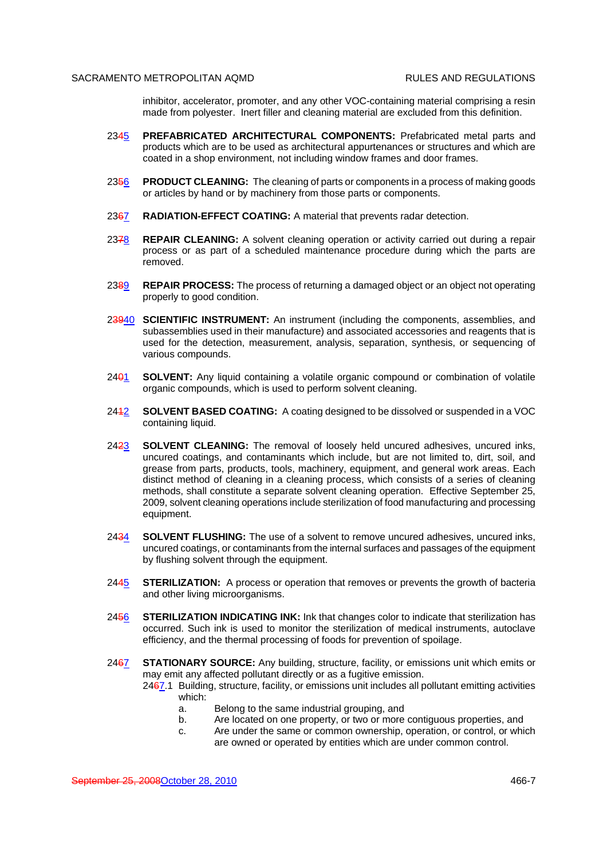inhibitor, accelerator, promoter, and any other VOC-containing material comprising a resin made from polyester. Inert filler and cleaning material are excluded from this definition.

- 2345 **PREFABRICATED ARCHITECTURAL COMPONENTS:** Prefabricated metal parts and products which are to be used as architectural appurtenances or structures and which are coated in a shop environment, not including window frames and door frames.
- 2356 **PRODUCT CLEANING:** The cleaning of parts or components in a process of making goods or articles by hand or by machinery from those parts or components.
- 2367 **RADIATION-EFFECT COATING:** A material that prevents radar detection.
- 2378 **REPAIR CLEANING:** A solvent cleaning operation or activity carried out during a repair process or as part of a scheduled maintenance procedure during which the parts are removed.
- 2389 **REPAIR PROCESS:** The process of returning a damaged object or an object not operating properly to good condition.
- 23940 **SCIENTIFIC INSTRUMENT:** An instrument (including the components, assemblies, and subassemblies used in their manufacture) and associated accessories and reagents that is used for the detection, measurement, analysis, separation, synthesis, or sequencing of various compounds.
- 2401 **SOLVENT:** Any liquid containing a volatile organic compound or combination of volatile organic compounds, which is used to perform solvent cleaning.
- 2412 **SOLVENT BASED COATING:** A coating designed to be dissolved or suspended in a VOC containing liquid.
- 2423 **SOLVENT CLEANING:** The removal of loosely held uncured adhesives, uncured inks, uncured coatings, and contaminants which include, but are not limited to, dirt, soil, and grease from parts, products, tools, machinery, equipment, and general work areas. Each distinct method of cleaning in a cleaning process, which consists of a series of cleaning methods, shall constitute a separate solvent cleaning operation. Effective September 25, 2009, solvent cleaning operations include sterilization of food manufacturing and processing equipment.
- 2434 **SOLVENT FLUSHING:** The use of a solvent to remove uncured adhesives, uncured inks, uncured coatings, or contaminants from the internal surfaces and passages of the equipment by flushing solvent through the equipment.
- 2445 **STERILIZATION:** A process or operation that removes or prevents the growth of bacteria and other living microorganisms.
- 2456 **STERILIZATION INDICATING INK:** Ink that changes color to indicate that sterilization has occurred. Such ink is used to monitor the sterilization of medical instruments, autoclave efficiency, and the thermal processing of foods for prevention of spoilage.
- 2467 **STATIONARY SOURCE:** Any building, structure, facility, or emissions unit which emits or may emit any affected pollutant directly or as a fugitive emission.

2467.1 Building, structure, facility, or emissions unit includes all pollutant emitting activities which:

- a. Belong to the same industrial grouping, and
- b. Are located on one property, or two or more contiguous properties, and
- c. Are under the same or common ownership, operation, or control, or which are owned or operated by entities which are under common control.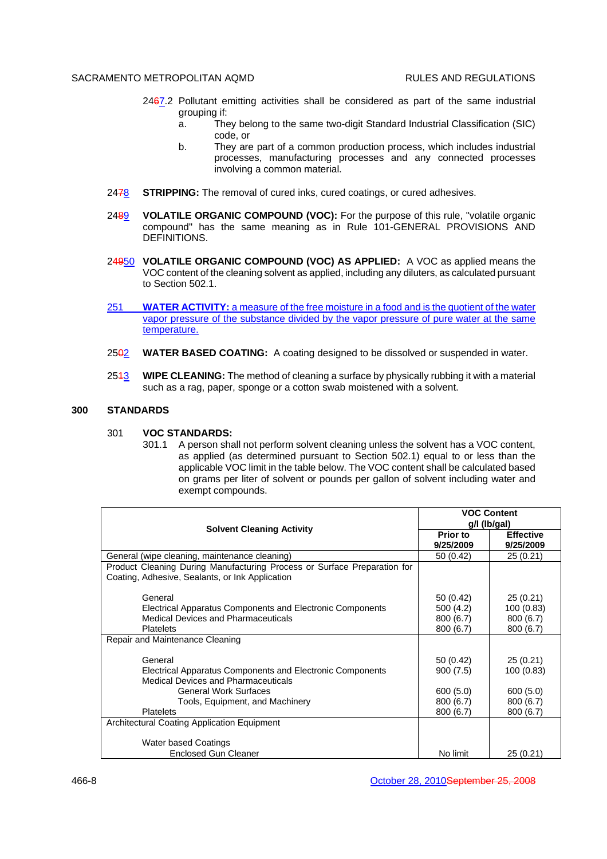- 2467.2 Pollutant emitting activities shall be considered as part of the same industrial grouping if:
	- a. They belong to the same two-digit Standard Industrial Classification (SIC) code, or
	- b. They are part of a common production process, which includes industrial processes, manufacturing processes and any connected processes involving a common material.
- 2478 **STRIPPING:** The removal of cured inks, cured coatings, or cured adhesives.
- 2489 **VOLATILE ORGANIC COMPOUND (VOC):** For the purpose of this rule, "volatile organic compound" has the same meaning as in Rule 101-GENERAL PROVISIONS AND DEFINITIONS.
- 24950 **VOLATILE ORGANIC COMPOUND (VOC) AS APPLIED:** A VOC as applied means the VOC content of the cleaning solvent as applied, including any diluters, as calculated pursuant to Section 502.1.
- 251 **WATER ACTIVITY:** a measure of the free moisture in a food and is the quotient of the water vapor pressure of the substance divided by the vapor pressure of pure water at the same temperature.
- 2502 **WATER BASED COATING:** A coating designed to be dissolved or suspended in water.
- 2513 **WIPE CLEANING:** The method of cleaning a surface by physically rubbing it with a material such as a rag, paper, sponge or a cotton swab moistened with a solvent.

# **300 STANDARDS**

#### 301 **VOC STANDARDS:**

301.1 A person shall not perform solvent cleaning unless the solvent has a VOC content, as applied (as determined pursuant to Section 502.1) equal to or less than the applicable VOC limit in the table below. The VOC content shall be calculated based on grams per liter of solvent or pounds per gallon of solvent including water and exempt compounds.

|                                                                                                                                        | <b>VOC Content</b><br>g/l (lb/gal)              |                                                 |  |
|----------------------------------------------------------------------------------------------------------------------------------------|-------------------------------------------------|-------------------------------------------------|--|
| <b>Solvent Cleaning Activity</b>                                                                                                       | Prior to<br>9/25/2009                           | <b>Effective</b><br>9/25/2009                   |  |
| General (wipe cleaning, maintenance cleaning)                                                                                          | 50(0.42)                                        | 25(0.21)                                        |  |
| Product Cleaning During Manufacturing Process or Surface Preparation for<br>Coating, Adhesive, Sealants, or Ink Application            |                                                 |                                                 |  |
| General<br>Electrical Apparatus Components and Electronic Components<br><b>Medical Devices and Pharmaceuticals</b><br><b>Platelets</b> | 50 (0.42)<br>500 (4.2)<br>800(6.7)<br>800 (6.7) | 25(0.21)<br>100 (0.83)<br>800(6.7)<br>800 (6.7) |  |
| Repair and Maintenance Cleaning                                                                                                        |                                                 |                                                 |  |
| General<br>Electrical Apparatus Components and Electronic Components<br><b>Medical Devices and Pharmaceuticals</b>                     | 50 (0.42)<br>900(7.5)                           | 25(0.21)<br>100(0.83)                           |  |
| <b>General Work Surfaces</b><br>Tools, Equipment, and Machinery<br><b>Platelets</b>                                                    | 600 (5.0)<br>800 (6.7)<br>800 (6.7)             | 600(5.0)<br>800 (6.7)<br>800 (6.7)              |  |
| Architectural Coating Application Equipment                                                                                            |                                                 |                                                 |  |
| <b>Water based Coatings</b><br><b>Enclosed Gun Cleaner</b>                                                                             | No limit                                        | 25(0.21)                                        |  |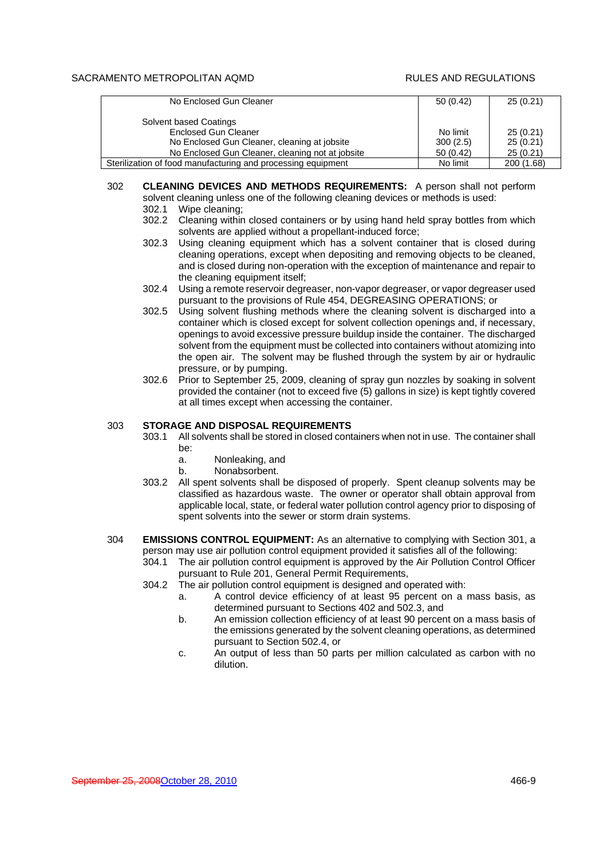| No Enclosed Gun Cleaner                                      | 50(0.42) | 25(0.21)   |
|--------------------------------------------------------------|----------|------------|
| Solvent based Coatings                                       |          |            |
| <b>Enclosed Gun Cleaner</b>                                  | No limit | 25(0.21)   |
| No Enclosed Gun Cleaner, cleaning at jobsite                 | 300(2.5) | 25(0.21)   |
| No Enclosed Gun Cleaner, cleaning not at jobsite             | 50(0.42) | 25(0.21)   |
| Sterilization of food manufacturing and processing equipment | No limit | 200 (1.68) |

- 302 **CLEANING DEVICES AND METHODS REQUIREMENTS:** A person shall not perform solvent cleaning unless one of the following cleaning devices or methods is used: 302.1 Wipe cleaning;
	- 302.2 Cleaning within closed containers or by using hand held spray bottles from which solvents are applied without a propellant-induced force;
	- 302.3 Using cleaning equipment which has a solvent container that is closed during cleaning operations, except when depositing and removing objects to be cleaned, and is closed during non-operation with the exception of maintenance and repair to the cleaning equipment itself;
	- 302.4 Using a remote reservoir degreaser, non-vapor degreaser, or vapor degreaser used pursuant to the provisions of Rule 454, DEGREASING OPERATIONS; or
	- 302.5 Using solvent flushing methods where the cleaning solvent is discharged into a container which is closed except for solvent collection openings and, if necessary, openings to avoid excessive pressure buildup inside the container. The discharged solvent from the equipment must be collected into containers without atomizing into the open air. The solvent may be flushed through the system by air or hydraulic pressure, or by pumping.
	- 302.6 Prior to September 25, 2009, cleaning of spray gun nozzles by soaking in solvent provided the container (not to exceed five (5) gallons in size) is kept tightly covered at all times except when accessing the container.

# 303 **STORAGE AND DISPOSAL REQUIREMENTS**

- 303.1 All solvents shall be stored in closed containers when not in use. The container shall be:
	- a. Nonleaking, and
	- b. Nonabsorbent.
- 303.2 All spent solvents shall be disposed of properly. Spent cleanup solvents may be classified as hazardous waste. The owner or operator shall obtain approval from applicable local, state, or federal water pollution control agency prior to disposing of spent solvents into the sewer or storm drain systems.
- 304 **EMISSIONS CONTROL EQUIPMENT:** As an alternative to complying with Section 301, a person may use air pollution control equipment provided it satisfies all of the following:
	- 304.1 The air pollution control equipment is approved by the Air Pollution Control Officer pursuant to Rule 201, General Permit Requirements,
	- 304.2 The air pollution control equipment is designed and operated with:
		- a. A control device efficiency of at least 95 percent on a mass basis, as determined pursuant to Sections 402 and 502.3, and
		- b. An emission collection efficiency of at least 90 percent on a mass basis of the emissions generated by the solvent cleaning operations, as determined pursuant to Section 502.4, or
		- c. An output of less than 50 parts per million calculated as carbon with no dilution.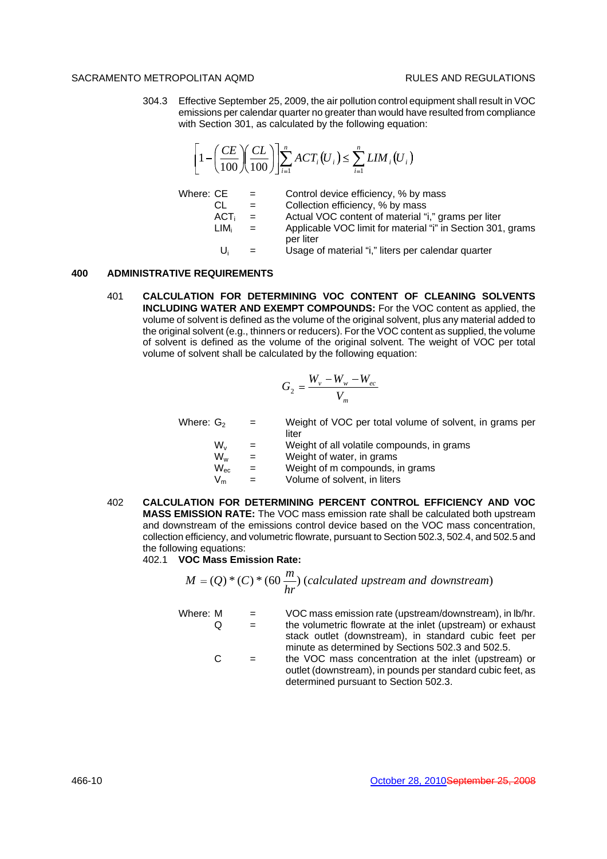304.3 Effective September 25, 2009, the air pollution control equipment shall result in VOC emissions per calendar quarter no greater than would have resulted from compliance with Section 301, as calculated by the following equation:

$$
\left[1-\left(\frac{CE}{100}\right)\left(\frac{CL}{100}\right)\right]\sum_{i=1}^{n} ACT_i(U_i) \leq \sum_{i=1}^{n} LIM_i(U_i)
$$

Where:  $CE =$  Control device efficiency, % by mass  $CL =$  Collection efficiency, % by mass  $ACT<sub>i</sub> =$  Actual VOC content of material "i," grams per liter<br>LIM<sub>i</sub> = Applicable VOC limit for material "i" in Section 301.  $=$  Applicable VOC limit for material "i" in Section 301, grams per liter  $U_i$  = Usage of material "i," liters per calendar quarter

# **400 ADMINISTRATIVE REQUIREMENTS**

401 **CALCULATION FOR DETERMINING VOC CONTENT OF CLEANING SOLVENTS INCLUDING WATER AND EXEMPT COMPOUNDS:** For the VOC content as applied, the volume of solvent is defined as the volume of the original solvent, plus any material added to the original solvent (e.g., thinners or reducers). For the VOC content as supplied, the volume of solvent is defined as the volume of the original solvent. The weight of VOC per total volume of solvent shall be calculated by the following equation:

$$
G_2 = \frac{W_v - W_w - W_{ec}}{V_m}
$$

| Where: G <sub>2</sub> | $=$                       | Weight of VOC per total volume of solvent, in grams per |  |
|-----------------------|---------------------------|---------------------------------------------------------|--|
|                       |                           | liter                                                   |  |
| W.,                   | $=$                       | Weight of all volatile compounds, in grams              |  |
| W.,                   | $\mathbf{r} = \mathbf{r}$ | Weight of water, in grams                               |  |

- $W_{\text{ec}}$  = Weight of m compounds, in grams
- $V_m$  = Volume of solvent, in liters
- 402 **CALCULATION FOR DETERMINING PERCENT CONTROL EFFICIENCY AND VOC MASS EMISSION RATE:** The VOC mass emission rate shall be calculated both upstream and downstream of the emissions control device based on the VOC mass concentration, collection efficiency, and volumetric flowrate, pursuant to Section 502.3, 502.4, and 502.5 and the following equations:

# 402.1 **VOC Mass Emission Rate:**

$$
M = (Q) * (C) * (60 \frac{m}{hr})
$$
 (calculated upstream and downstream)

Where: M = VOC mass emission rate (upstream/downstream), in lb/hr. Q = the volumetric flowrate at the inlet (upstream) or exhaust stack outlet (downstream), in standard cubic feet per minute as determined by Sections 502.3 and 502.5. C = the VOC mass concentration at the inlet (upstream) or outlet (downstream), in pounds per standard cubic feet, as

determined pursuant to Section 502.3.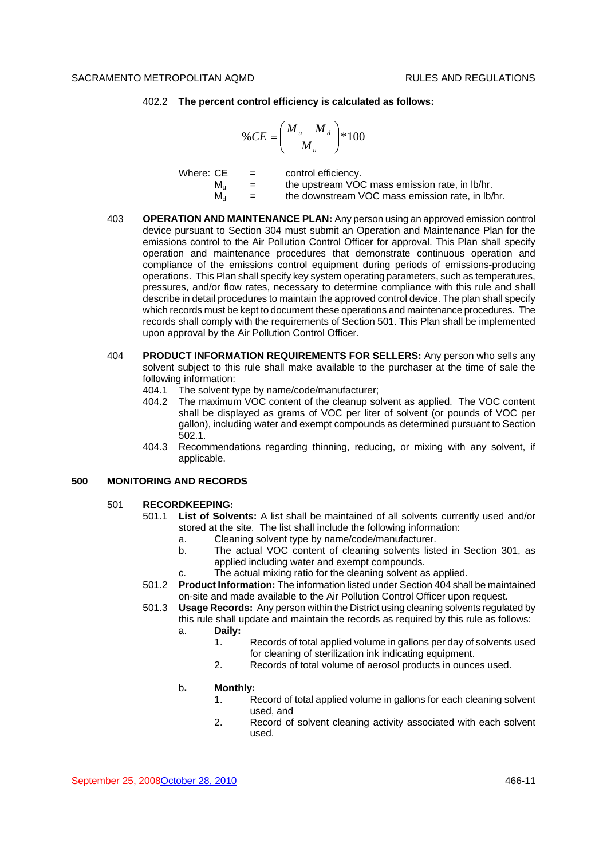#### 402.2 **The percent control efficiency is calculated as follows:**

$$
\%CE = \left(\frac{M_u - M_d}{M_u}\right) * 100
$$

| Where: CE   | $=$ | control efficiency.                              |
|-------------|-----|--------------------------------------------------|
| M.          | $=$ | the upstream VOC mass emission rate, in Ib/hr.   |
| $M_{\rm d}$ | $=$ | the downstream VOC mass emission rate, in lb/hr. |

- 403 **OPERATION AND MAINTENANCE PLAN:** Any person using an approved emission control device pursuant to Section 304 must submit an Operation and Maintenance Plan for the emissions control to the Air Pollution Control Officer for approval. This Plan shall specify operation and maintenance procedures that demonstrate continuous operation and compliance of the emissions control equipment during periods of emissions-producing operations. This Plan shall specify key system operating parameters, such as temperatures, pressures, and/or flow rates, necessary to determine compliance with this rule and shall describe in detail procedures to maintain the approved control device. The plan shall specify which records must be kept to document these operations and maintenance procedures. The records shall comply with the requirements of Section 501. This Plan shall be implemented upon approval by the Air Pollution Control Officer.
- 404 **PRODUCT INFORMATION REQUIREMENTS FOR SELLERS:** Any person who sells any solvent subject to this rule shall make available to the purchaser at the time of sale the following information:
	- 404.1 The solvent type by name/code/manufacturer;<br>404.2 The maximum VOC content of the cleanup so
	- The maximum VOC content of the cleanup solvent as applied. The VOC content shall be displayed as grams of VOC per liter of solvent (or pounds of VOC per gallon), including water and exempt compounds as determined pursuant to Section 502.1.
	- 404.3 Recommendations regarding thinning, reducing, or mixing with any solvent, if applicable.

## **500 MONITORING AND RECORDS**

#### 501 **RECORDKEEPING:**

- 501.1 **List of Solvents:** A list shall be maintained of all solvents currently used and/or stored at the site. The list shall include the following information:
	- a. Cleaning solvent type by name/code/manufacturer.
	- b. The actual VOC content of cleaning solvents listed in Section 301, as applied including water and exempt compounds.
	- c. The actual mixing ratio for the cleaning solvent as applied.
- 501.2 **Product Information:** The information listed under Section 404 shall be maintained on-site and made available to the Air Pollution Control Officer upon request.

501.3 **Usage Records:** Any person within the District using cleaning solvents regulated by this rule shall update and maintain the records as required by this rule as follows:

- a. **Daily:**
	- 1. Records of total applied volume in gallons per day of solvents used for cleaning of sterilization ink indicating equipment.
	- 2. Records of total volume of aerosol products in ounces used.

## b**. Monthly:**

- 1. Record of total applied volume in gallons for each cleaning solvent used, and
- 2. Record of solvent cleaning activity associated with each solvent used.